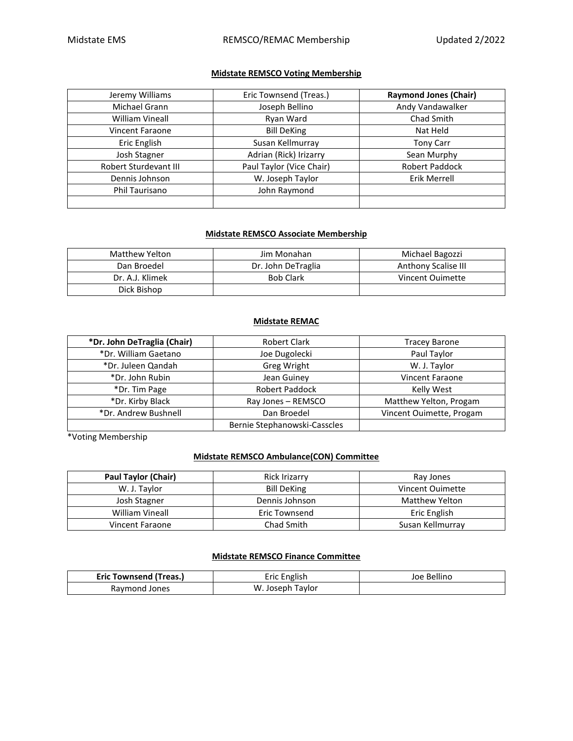## **Midstate REMSCO Voting Membership**

| Jeremy Williams        | Eric Townsend (Treas.)   | <b>Raymond Jones (Chair)</b> |
|------------------------|--------------------------|------------------------------|
| Michael Grann          | Joseph Bellino           | Andy Vandawalker             |
| <b>William Vineall</b> | Ryan Ward                | Chad Smith                   |
| <b>Vincent Faraone</b> | <b>Bill DeKing</b>       | Nat Held                     |
| Eric English           | Susan Kellmurray         | <b>Tony Carr</b>             |
| Josh Stagner           | Adrian (Rick) Irizarry   | Sean Murphy                  |
| Robert Sturdevant III  | Paul Taylor (Vice Chair) | <b>Robert Paddock</b>        |
| Dennis Johnson         | W. Joseph Taylor         | Erik Merrell                 |
| <b>Phil Taurisano</b>  | John Raymond             |                              |
|                        |                          |                              |

#### **Midstate REMSCO Associate Membership**

| Matthew Yelton  | Jim Monahan        | Michael Bagozzi     |
|-----------------|--------------------|---------------------|
| Dan Broedel     | Dr. John DeTraglia | Anthony Scalise III |
| Dr. A.J. Klimek | <b>Bob Clark</b>   | Vincent Ouimette    |
| Dick Bishop     |                    |                     |

### **Midstate REMAC**

| *Dr. John DeTraglia (Chair) | <b>Robert Clark</b>          | <b>Tracey Barone</b>     |
|-----------------------------|------------------------------|--------------------------|
| *Dr. William Gaetano        | Joe Dugolecki                | Paul Taylor              |
| *Dr. Juleen Qandah          | Greg Wright                  | W. J. Taylor             |
| *Dr. John Rubin             | Jean Guiney                  | <b>Vincent Faraone</b>   |
| *Dr. Tim Page               | <b>Robert Paddock</b>        | Kelly West               |
| *Dr. Kirby Black            | Ray Jones - REMSCO           | Matthew Yelton, Progam   |
| *Dr. Andrew Bushnell        | Dan Broedel                  | Vincent Ouimette, Progam |
|                             | Bernie Stephanowski-Casscles |                          |

\*Voting Membership

### **Midstate REMSCO Ambulance(CON) Committee**

| <b>Paul Taylor (Chair)</b> | <b>Rick Irizarry</b> | Ray Jones             |
|----------------------------|----------------------|-----------------------|
| W. J. Taylor               | <b>Bill DeKing</b>   | Vincent Ouimette      |
| Josh Stagner               | Dennis Johnson       | <b>Matthew Yelton</b> |
| <b>William Vineall</b>     | Eric Townsend        | Eric English          |
| Vincent Faraone            | Chad Smith           | Susan Kellmurray      |

## **Midstate REMSCO Finance Committee**

| Eric Townsend (Treas.) | <b>Eric English</b> | Joe Bellino |
|------------------------|---------------------|-------------|
| Raymond Jones          | W. Joseph<br>Tavlor |             |